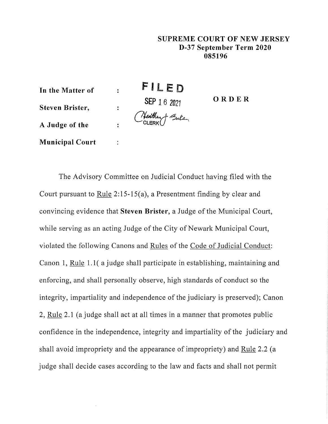## **SUPREME COURT OF NEW JERSEY D-37 September Term 2020 085196**

FILED **In the Matter of**   $\ddot{\cdot}$ **ORDER SEP** 16 <sup>2021</sup> **Steven Brister,**   $\ddot{\cdot}$ *~d~d.a-,*  **A Judge of the**   $\ddot{\cdot}$ **Municipal Court**  ÷

The Advisory Committee on Judicial Conduct having filed with the Court pursuant to Rule  $2:15-15(a)$ , a Presentment finding by clear and convincing evidence that **Steven Brister,** a Judge of the Municipal Court, while serving as an acting Judge of the City of Newark Municipal Court, violated the following Canons and Rules of the Code of Judicial Conduct: Canon 1, Rule 1. 1( a judge shall participate in establishing, maintaining and enforcing, and shall personally observe, high standards of conduct so the integrity, impartiality and independence of the judiciary is preserved); Canon 2, Rule 2.1 (a judge shall act at all times in a manner that promotes public confidence in the independence, integrity and impartiality of the judiciary and shall avoid impropriety and the appearance of impropriety) and Rule 2.2 (a judge shall decide cases according to the law and facts and shall not permit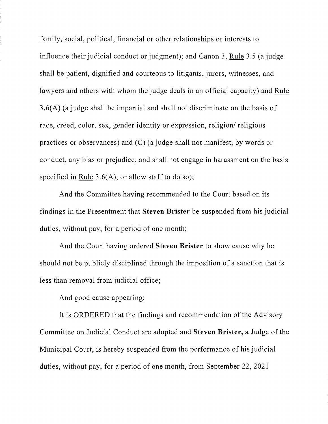family, social, political, financial or other relationships or interests to influence their judicial conduct or judgment); and Canon 3, Rule 3.5 (a judge shall be patient, dignified and courteous to litigants, jurors, witnesses, and lawyers and others with whom the judge deals in an official capacity) and Rule 3.6(A) (a judge shall be impartial and shall not discriminate on the basis of race, creed, color, sex, gender identity or expression, religion/ religious practices or observances) and  $(C)$  (a judge shall not manifest, by words or conduct, any bias or prejudice, and shall not engage in harassment on the basis specified in Rule  $3.6(A)$ , or allow staff to do so);

And the Committee having recommended to the Court based on its findings in the Presentment that **Steven Brister** be suspended from his judicial duties, without pay, for a period of one month;

And the Court having ordered **Steven Brister** to show cause why he should not be publicly disciplined through the imposition of a sanction that is less than removal from judicial office;

And good cause appearing;

It is ORDERED that the findings and recommendation of the Advisory Committee on Judicial Conduct are adopted and **Steven Brister,** a Judge of the Municipal Court, is hereby suspended from the performance of his judicial duties, without pay, for a period of one month, from September 22, 2021